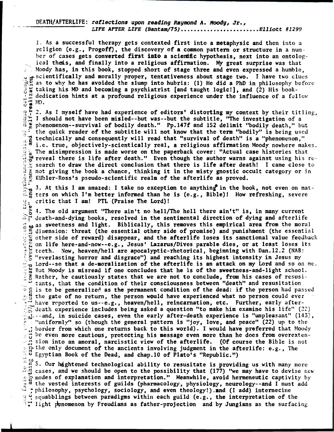**DEAN/AFTERLIFE: reflections upon reading Raymond A. Moody, Jr.,**  LIFE AFTER LIFE (Bantam/75).......................Elliott #1299

1, As **a successful therapy gets contexted first into a metaphysic and then into a**  religion (e.g., Progoff), the discovery of a common pattern or structure in a num-<br>ber of cases gets converted first into a scientific hypothesis, next into an ontolog**ber of cases gets converted first into a scientific hypothesis, next into an ontological theis, and finally, into a religious affirmation. My great surprise was that Moody has, in this book, stopped short of stage three and even expressed a humble, octscientifically and morally proper, tentativeness about stage two. I have two clues as to why he has avoided the slump into hubris: (1) He did a PhD in philosophy** before taking **his MD and becoming a psychiatrist [and taught logicl], and (2) His book-** 4 4 **dedication hints at a profound religious experience under the influence of a** follow

 $\frac{1}{4}$   $\frac{1}{4}$   $\frac{1}{4}$   $\frac{1}{4}$   $\frac{1}{4}$   $\frac{1}{4}$   $\frac{1}{4}$   $\frac{1}{4}$   $\frac{1}{4}$   $\frac{1}{4}$   $\frac{1}{4}$   $\frac{1}{4}$   $\frac{1}{4}$   $\frac{1}{4}$   $\frac{1}{4}$   $\frac{1}{4}$   $\frac{1}{4}$   $\frac{1}{4}$   $\frac{1}{4}$   $\frac{1}{4}$   $\frac{1}{4}$   $\frac{1}{4}$  2. As I myself have had experience of editors' distorting my context by their titling, **I should not have been misled--but was--but the subtitle, "The investigation of a**   $\frac{1}{10}$ **phenomenon--survival of bodily death." Pp.147f and 152 delimit "bodily death," but the quick reader of the subtitle will not know that the term "bodily" is being used**  $\overline{z}$  **technically and consequently will read that "survival of death" is a "phenomenon." the technically and consequently will read that "survival of death" is a "phenomenon,"**<br>" • i.e. true, objectively-scientically real, a religious affirmation Moody nowhere makes.<br>" • The picimus calce is note waves an the The misimpression is made worse on the paperback cover: "Actual case histories that<br>we reveal there is life after death." Even though the author warns against using his re<br>search to draw the direct conclusion that there is The **misimpression is made worse on the paperback cover: "Actual case histories that reveal there is life after death." Even though the author warns against using** his re t not **giving the book a chance, thinking it in the misty gnostic occult category or** in **Ktibler-Ross's pseudo-scientific realm of the afterlife as proved.** 

**• 3.** At this I am amazed: I take no exception to anything in the book, not even on mat-<br>  $\frac{1}{100}$  ters on which I'm better informed than he is (e.g., Bible)! How refreshing, severe **ters on which I'm better informed than he is (e.g., Bible)! How refreshing, severe critic that I am! PTL (Praise The Lord)!** 

**s 3 ,** g 4. **The old argument "There ain't no hell/The hell there ain't" is, in many current death-and-dying books, resolved in the sentimental direction of dying and afterlife**  as **sweetness and light. Biblically, this removes this empirical area from the moral 7 dimension: threat (the essential other side of promise) and punishment (the essential**  other **side of reward) disappear, and the afterlife loses its sanctional value** feedback **HOSES on life here-and-now--e.g., Jesus' Lazarus/Dives parable dies, or at least loses its t teeth. Now, heaven/hell are apocalyptic-rhetorical, beginning with Dan.12.2 (NAB: "everlasting horror and disgrace") and reaching its highest intensity in Jesus my Lord--so that a de-moralization of the afterlife is an attack on my Lord and so on** me. But Moody is misread if one concludes that he is of the sweetness-and-light school. 医切碎法 Rather, he cautiously states that we are not to conclude, from his cases of resusi-' tants, that **the condition of their consciousness between "death" and resusitation r** is to **be generalize! as the permanent condition of the dead: if the person** had passed the **gate of no return, the person would have experienced what no person** could ever • have reported to us--e.g., heaven/hell, reincarnation, etc. Further, early afterdeath experience includes being asked a question "to make him examine his life" (22) in suicide cases, even the early after-death experience is "unpleasant" (143), "uniformly" so (though the general pattern is "joy, love, and peace" (22) up to the border from which **one returns back to this world). I would have preferred that** Moody be even more cautious, protecting his message even more than he does from overexten- $\frac{d}{dt}$ sion **into an amoral, narcisstic view of the afterlife. (Of course the Bible is** not  $\mathcal{L}^{\mathcal{A}}$ . E<sub>i</sub> the only document of the ancients involving judgment in the afterlife: e.g., The Egyptian Book of the Dead, and chap.10 of Plato's "Republic.") 0 Egyptian **Book of the Dead, and chap.10 of Plato's "Republic.")**  فسام

5. **Our hightened technological ability to resusitate is providing us with many** more 47.-2 cases, **and we should be open to the possibility that (177) "we may have to devise** ncw i;:4.. modes **of explanation and interpretation." Meanwhile, avoid hermeneutic** captivity by  $\sharp$  <sup> $\mathfrak a$ </sup> the vested interests of guilds (pharmacology, physiology, neurology--and I must add :philosophy, **psychology, sociology, and even theology!).and (I add) internecine 19 cauabblings between paradigms within each guild (e.g., the interpretation of the** !:4light **Oenomenon by Freudians as father-projection and by Jungians as the surfacing**